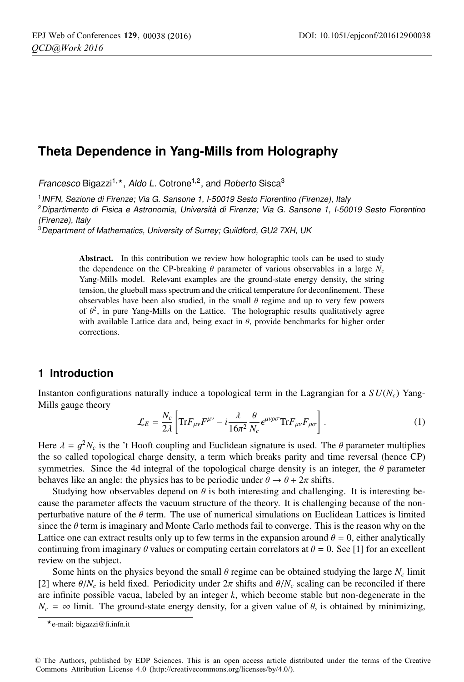# **Theta Dependence in Yang-Mills from Holography**

Francesco Bigazzi<sup>1,\*</sup>, Aldo L. Cotrone<sup>1,2</sup>, and Roberto Sisca<sup>3</sup>

<sup>1</sup> INFN, Sezione di Firenze; Via G. Sansone 1, I-50019 Sesto Fiorentino (Firenze), Italy

<sup>2</sup>Dipartimento di Fisica e Astronomia, Università di Firenze; Via G. Sansone 1, I-50019 Sesto Fiorentino (Firenze), Italy

<sup>3</sup>Department of Mathematics, University of Surrey; Guildford, GU2 7XH, UK

Abstract. In this contribution we review how holographic tools can be used to study the dependence on the CP-breaking  $\theta$  parameter of various observables in a large  $N_c$ Yang-Mills model. Relevant examples are the ground-state energy density, the string tension, the glueball mass spectrum and the critical temperature for deconfinement. These observables have been also studied, in the small  $\theta$  regime and up to very few powers of  $\theta^2$ , in pure Yang-Mills on the Lattice. The holographic results qualitatively agree with available Lattice data and, being exact in  $\theta$ , provide benchmarks for higher order corrections.

# **1 Introduction**

Instanton configurations naturally induce a topological term in the Lagrangian for a  $SU(N_c)$  Yang-Mills gauge theory

$$
\mathcal{L}_E = \frac{N_c}{2\lambda} \left[ \text{Tr} F_{\mu\nu} F^{\mu\nu} - i \frac{\lambda}{16\pi^2} \frac{\theta}{N_c} \epsilon^{\mu\nu\rho\sigma} \text{Tr} F_{\mu\nu} F_{\rho\sigma} \right]. \tag{1}
$$

Here  $\lambda = g^2 N_c$  is the 't Hooft coupling and Euclidean signature is used. The  $\theta$  parameter multiplies the so called topological charge density, a term which breaks parity and time reversal (hence CP) symmetries. Since the 4d integral of the topological charge density is an integer, the  $\theta$  parameter behaves like an angle: the physics has to be periodic under  $\theta \rightarrow \theta + 2\pi$  shifts.

Studying how observables depend on  $\theta$  is both interesting and challenging. It is interesting because the parameter affects the vacuum structure of the theory. It is challenging because of the nonperturbative nature of the  $\theta$  term. The use of numerical simulations on Euclidean Lattices is limited since the  $\theta$  term is imaginary and Monte Carlo methods fail to converge. This is the reason why on the Lattice one can extract results only up to few terms in the expansion around  $\theta = 0$ , either analytically continuing from imaginary  $\theta$  values or computing certain correlators at  $\theta = 0$ . See [1] for an excellent review on the subject.

Some hints on the physics beyond the small  $\theta$  regime can be obtained studying the large  $N_c$  limit [2] where  $\theta/N_c$  is held fixed. Periodicity under  $2\pi$  shifts and  $\theta/N_c$  scaling can be reconciled if there are infinite possible vacua, labeled by an integer *k*, which become stable but non-degenerate in the  $N_c = \infty$  limit. The ground-state energy density, for a given value of  $\theta$ , is obtained by minimizing,

<sup>-</sup>e-mail: bigazzi@fi.infn.it

<sup>©</sup> The Authors, published by EDP Sciences. This is an open access article distributed under the terms of the Creative Commons Attribution License 4.0 (http://creativecommons.org/licenses/by/4.0/).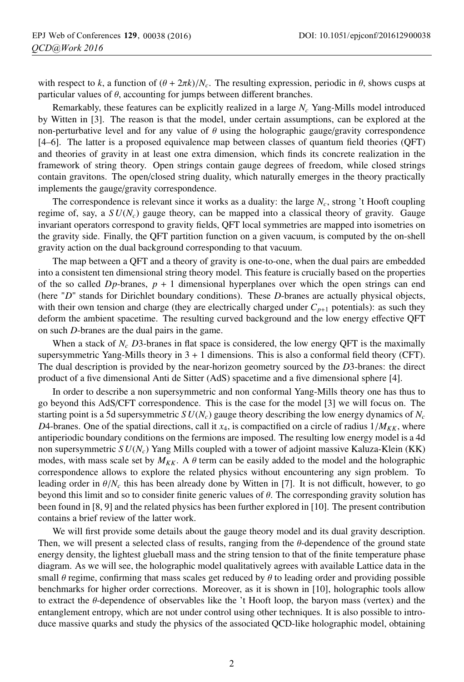with respect to *k*, a function of  $(\theta + 2\pi k)/N_c$ . The resulting expression, periodic in  $\theta$ , shows cusps at particular values of  $\theta$ , accounting for jumps between different branches.

Remarkably, these features can be explicitly realized in a large *Nc* Yang-Mills model introduced by Witten in [3]. The reason is that the model, under certain assumptions, can be explored at the non-perturbative level and for any value of  $\theta$  using the holographic gauge/gravity correspondence [4–6]. The latter is a proposed equivalence map between classes of quantum field theories (QFT) and theories of gravity in at least one extra dimension, which finds its concrete realization in the framework of string theory. Open strings contain gauge degrees of freedom, while closed strings contain gravitons. The open/closed string duality, which naturally emerges in the theory practically implements the gauge/gravity correspondence.

The correspondence is relevant since it works as a duality: the large *Nc*, strong 't Hooft coupling regime of, say, a  $SU(N_c)$  gauge theory, can be mapped into a classical theory of gravity. Gauge invariant operators correspond to gravity fields, QFT local symmetries are mapped into isometries on the gravity side. Finally, the QFT partition function on a given vacuum, is computed by the on-shell gravity action on the dual background corresponding to that vacuum.

The map between a QFT and a theory of gravity is one-to-one, when the dual pairs are embedded into a consistent ten dimensional string theory model. This feature is crucially based on the properties of the so called  $D_p$ -branes,  $p + 1$  dimensional hyperplanes over which the open strings can end (here "*D*" stands for Dirichlet boundary conditions). These *D*-branes are actually physical objects, with their own tension and charge (they are electrically charged under  $C_{p+1}$  potentials): as such they deform the ambient spacetime. The resulting curved background and the low energy effective QFT on such *D*-branes are the dual pairs in the game.

When a stack of  $N_c$  *D*3-branes in flat space is considered, the low energy QFT is the maximally supersymmetric Yang-Mills theory in  $3 + 1$  dimensions. This is also a conformal field theory (CFT). The dual description is provided by the near-horizon geometry sourced by the *D*3-branes: the direct product of a five dimensional Anti de Sitter (AdS) spacetime and a five dimensional sphere [4].

In order to describe a non supersymmetric and non conformal Yang-Mills theory one has thus to go beyond this AdS/CFT correspondence. This is the case for the model [3] we will focus on. The starting point is a 5d supersymmetric  $SU(N_c)$  gauge theory describing the low energy dynamics of  $N_c$ *D*4-branes. One of the spatial directions, call it  $x_4$ , is compactified on a circle of radius  $1/M_{KK}$ , where antiperiodic boundary conditions on the fermions are imposed. The resulting low energy model is a 4d non supersymmetric *S U*(*Nc*) Yang Mills coupled with a tower of adjoint massive Kaluza-Klein (KK) modes, with mass scale set by  $M_{KK}$ . A  $\theta$  term can be easily added to the model and the holographic correspondence allows to explore the related physics without encountering any sign problem. To leading order in  $\theta/N_c$  this has been already done by Witten in [7]. It is not difficult, however, to go beyond this limit and so to consider finite generic values of  $\theta$ . The corresponding gravity solution has been found in [8, 9] and the related physics has been further explored in [10]. The present contribution contains a brief review of the latter work.

We will first provide some details about the gauge theory model and its dual gravity description. Then, we will present a selected class of results, ranging from the  $\theta$ -dependence of the ground state energy density, the lightest glueball mass and the string tension to that of the finite temperature phase diagram. As we will see, the holographic model qualitatively agrees with available Lattice data in the small  $\theta$  regime, confirming that mass scales get reduced by  $\theta$  to leading order and providing possible benchmarks for higher order corrections. Moreover, as it is shown in [10], holographic tools allow to extract the θ-dependence of observables like the 't Hooft loop, the baryon mass (vertex) and the entanglement entropy, which are not under control using other techniques. It is also possible to introduce massive quarks and study the physics of the associated QCD-like holographic model, obtaining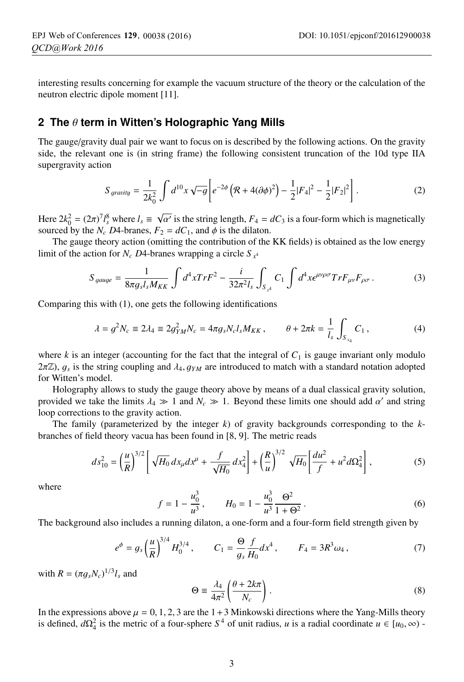interesting results concerning for example the vacuum structure of the theory or the calculation of the neutron electric dipole moment [11].

### **2 The** θ **term in Witten's Holographic Yang Mills**

The gauge/gravity dual pair we want to focus on is described by the following actions. On the gravity side, the relevant one is (in string frame) the following consistent truncation of the 10d type IIA supergravity action

$$
S_{\text{gravity}} = \frac{1}{2k_0^2} \int d^{10}x \sqrt{-g} \left[ e^{-2\phi} \left( \mathcal{R} + 4(\partial \phi)^2 \right) - \frac{1}{2} |F_4|^2 - \frac{1}{2} |F_2|^2 \right]. \tag{2}
$$

Here  $2k_0^2 = (2\pi)^7 l_s^8$  where  $l_s \equiv \sqrt{\alpha'}$  is the string length,  $F_4 = dC_3$  is a four-form which is magnetically sourced by the *N* D4-branes  $F_2 = dC_1$  and  $\phi$  is the dilaton sourced by the  $N_c$  *D*4-branes,  $F_2 = dC_1$ , and  $\phi$  is the dilaton.

The gauge theory action (omitting the contribution of the KK fields) is obtained as the low energy limit of the action for *N<sub>c</sub> D*4-branes wrapping a circle  $S_{x^4}$ 

$$
S_{gauge} = \frac{1}{8\pi g_s l_s M_{KK}} \int d^4x Tr F^2 - \frac{i}{32\pi^2 l_s} \int_{S_{x^4}} C_1 \int d^4x \epsilon^{\mu\nu\rho\sigma} Tr F_{\mu\nu} F_{\rho\sigma} \,. \tag{3}
$$

Comparing this with (1), one gets the following identifications

$$
\lambda = g^2 N_c \equiv 2\lambda_4 \equiv 2g_{YM}^2 N_c = 4\pi g_s N_c l_s M_{KK} , \qquad \theta + 2\pi k = \frac{1}{l_s} \int_{S_{x_4}} C_1 , \qquad (4)
$$

where *k* is an integer (accounting for the fact that the integral of  $C_1$  is gauge invariant only modulo  $2\pi\mathbb{Z}$ ,  $g_s$  is the string coupling and  $\lambda_4$ ,  $g_{YM}$  are introduced to match with a standard notation adopted for Witten's model.

Holography allows to study the gauge theory above by means of a dual classical gravity solution, provided we take the limits  $\lambda_4 \gg 1$  and  $N_c \gg 1$ . Beyond these limits one should add  $\alpha'$  and string loop corrections to the gravity action.

The family (parameterized by the integer *k*) of gravity backgrounds corresponding to the *k*branches of field theory vacua has been found in [8, 9]. The metric reads

$$
ds_{10}^2 = \left(\frac{u}{R}\right)^{3/2} \left[\sqrt{H_0} \, dx_\mu dx^\mu + \frac{f}{\sqrt{H_0}} \, dx_4^2\right] + \left(\frac{R}{u}\right)^{3/2} \sqrt{H_0} \left[\frac{du^2}{f} + u^2 d\Omega_4^2\right],\tag{5}
$$

where

$$
f = 1 - \frac{u_0^3}{u^3}, \qquad H_0 = 1 - \frac{u_0^3}{u^3} \frac{\Theta^2}{1 + \Theta^2}.
$$
 (6)

The background also includes a running dilaton, a one-form and a four-form field strength given by

$$
e^{\phi} = g_s \left(\frac{u}{R}\right)^{3/4} H_0^{3/4}, \qquad C_1 = \frac{\Theta}{g_s} \frac{f}{H_0} dx^4, \qquad F_4 = 3R^3 \omega_4, \tag{7}
$$

with  $R = (\pi g_s N_c)^{1/3} l_s$  and

$$
\Theta \equiv \frac{\lambda_4}{4\pi^2} \left( \frac{\theta + 2k\pi}{N_c} \right). \tag{8}
$$

In the expressions above  $\mu = 0, 1, 2, 3$  are the 1+3 Minkowski directions where the Yang-Mills theory In the expressions above  $\mu = 0, 1, 2, 3$  are the 1+3 Minkowski directions where the Yang-Mills theory is defined,  $d\Omega_4^2$  is the metric of a four-sphere  $S^4$  of unit radius,  $u$  is a radial coordinate  $u \in [u_0, \infty)$ .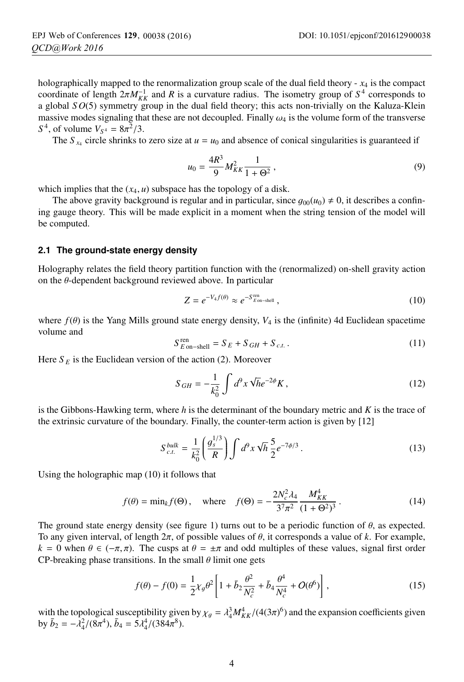holographically mapped to the renormalization group scale of the dual field theory  $-x_4$  is the compact coordinate of length  $2\pi M_{KK}^{-1}$  and *R* is a curvature radius. The isometry group of  $S^4$  corresponds to a global  $SO(5)$  symmetry group in the dual field theory: this acts non-trivially on the Kaluza-Klein a global *S O*(5) symmetry group in the dual field theory; this acts non-trivially on the Kaluza-Klein massive modes signaling that these are not decoupled. Finally  $\omega_4$  is the volume form of the transverse *S*<sup>4</sup>, of volume  $V_{S^4} = 8\pi^2/3$ .

The *S*  $_{x_4}$  circle shrinks to zero size at  $u = u_0$  and absence of conical singularities is guaranteed if

$$
u_0 = \frac{4R^3}{9} M_{KK}^2 \frac{1}{1 + \Theta^2},\tag{9}
$$

which implies that the  $(x_4, u)$  subspace has the topology of a disk.

The above gravity background is regular and in particular, since  $g_{00}(u_0) \neq 0$ , it describes a confin-<br>gauge theory. This will be made explicit in a moment when the string tension of the model will ing gauge theory. This will be made explicit in a moment when the string tension of the model will be computed.

### **2.1 The ground-state energy density**

Holography relates the field theory partition function with the (renormalized) on-shell gravity action on the  $\theta$ -dependent background reviewed above. In particular

$$
Z = e^{-V_4 f(\theta)} \approx e^{-S_{E\text{on-shell}}^{\text{ren}}},
$$
\n(10)

where  $f(\theta)$  is the Yang Mills ground state energy density,  $V_4$  is the (infinite) 4d Euclidean spacetime volume and

$$
S_{E\text{ on-shell}}^{\text{ren}} = S_E + S_{GH} + S_{c.t.} \tag{11}
$$

Here  $S_E$  is the Euclidean version of the action (2). Moreover

$$
S_{GH} = -\frac{1}{k_0^2} \int d^9 x \sqrt{h} e^{-2\phi} K,
$$
\n(12)

is the Gibbons-Hawking term, where *h* is the determinant of the boundary metric and *K* is the trace of the extrinsic curvature of the boundary. Finally, the counter-term action is given by [12]

$$
S_{c.t.}^{bulk} = \frac{1}{k_0^2} \left( \frac{g_s^{1/3}}{R} \right) \int d^9 x \sqrt{h} \frac{5}{2} e^{-7\phi/3} . \tag{13}
$$

Using the holographic map (10) it follows that

$$
f(\theta) = \min_{k} f(\Theta), \quad \text{where} \quad f(\Theta) = -\frac{2N_c^2 \lambda_4}{3^7 \pi^2} \frac{M_{KK}^4}{(1 + \Theta^2)^3} \,. \tag{14}
$$

The ground state energy density (see figure 1) turns out to be a periodic function of  $\theta$ , as expected. To any given interval, of length  $2\pi$ , of possible values of  $\theta$ , it corresponds a value of  $k$ . For example,  $k = 0$  when  $\theta \in (-\pi, \pi)$ . The cusps at  $\theta = \pm \pi$  and odd multiples of these values, signal first order CP-breaking phase transitions. In the small  $\theta$  limit one gets

$$
f(\theta) - f(0) = \frac{1}{2}\chi_g \theta^2 \left[ 1 + \bar{b}_2 \frac{\theta^2}{N_c^2} + \bar{b}_4 \frac{\theta^4}{N_c^4} + O(\theta^6) \right],
$$
 (15)

with the topological susceptibility given by  $\chi_g = \lambda_4^3 M_{KK}^4/(4(3\pi)^6)$  and the expansion coefficients given<br>by  $\bar{h}_s = -\lambda^2/(8\pi^4)$ ,  $\bar{h}_s = 5\lambda^4/(384\pi^8)$ by  $\bar{b}_2 = -\lambda_4^2/(8\pi^4)$ ,  $\bar{b}_4 = 5\lambda_4^4/(384\pi^8)$ .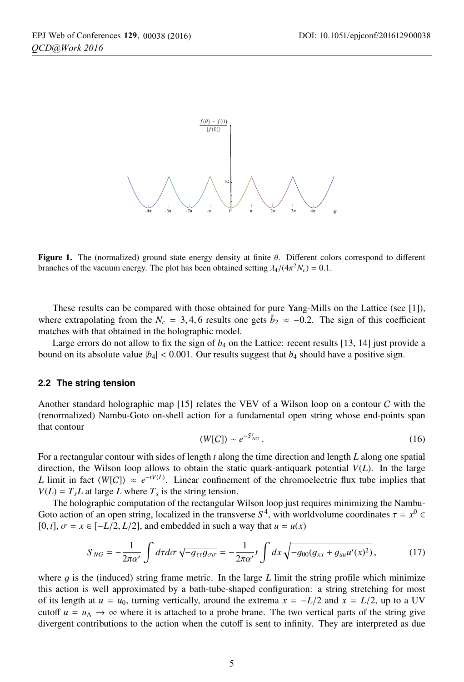

Figure 1. The (normalized) ground state energy density at finite θ. Different colors correspond to different branches of the vacuum energy. The plot has been obtained setting  $\lambda_4/(4\pi^2 N_c) = 0.1$ .

These results can be compared with those obtained for pure Yang-Mills on the Lattice (see [1]), where extrapolating from the  $N_c = 3, 4, 6$  results one gets  $\bar{b}_2 \approx -0.2$ . The sign of this coefficient matches with that obtained in the holographic model.

Large errors do not allow to fix the sign of  $b_4$  on the Lattice: recent results [13, 14] just provide a bound on its absolute value  $|b_4| < 0.001$ . Our results suggest that  $b_4$  should have a positive sign.

#### **2.2 The string tension**

Another standard holographic map [15] relates the VEV of a Wilson loop on a contour C with the (renormalized) Nambu-Goto on-shell action for a fundamental open string whose end-points span that contour

$$
\langle W[C] \rangle \sim e^{-S'_{NG}}.
$$
\n(16)

For a rectangular contour with sides of length *t* along the time direction and length *L* along one spatial direction, the Wilson loop allows to obtain the static quark-antiquark potential *V*(*L*). In the large *L* limit in fact  $\langle W[C] \rangle \approx e^{-tV(L)}$ . Linear confinement of the chromoelectric flux tube implies that  $V(L) = T<sub>s</sub>L$  at large *L* where  $T<sub>s</sub>$  is the string tension.

The holographic computation of the rectangular Wilson loop just requires minimizing the Nambu-Goto action of an open string, localized in the transverse  $S<sup>4</sup>$ , with worldvolume coordinates  $\tau = x^0 \in$ [0, *t*],  $\sigma = x \in [-L/2, L/2]$ , and embedded in such a way that  $u = u(x)$ 

$$
S_{NG} = -\frac{1}{2\pi\alpha'} \int d\tau d\sigma \sqrt{-g_{\tau\tau}g_{\sigma\sigma}} = -\frac{1}{2\pi\alpha'} t \int dx \sqrt{-g_{00}(g_{xx} + g_{uu}u'(x)^2)},\tag{17}
$$

where  $g$  is the (induced) string frame metric. In the large  $L$  limit the string profile which minimize this action is well approximated by a bath-tube-shaped configuration: a string stretching for most of its length at  $u = u_0$ , turning vertically, around the extrema  $x = -L/2$  and  $x = L/2$ , up to a UV cutoff  $u = u_{\Lambda} \rightarrow \infty$  where it is attached to a probe brane. The two vertical parts of the string give divergent contributions to the action when the cutoff is sent to infinity. They are interpreted as due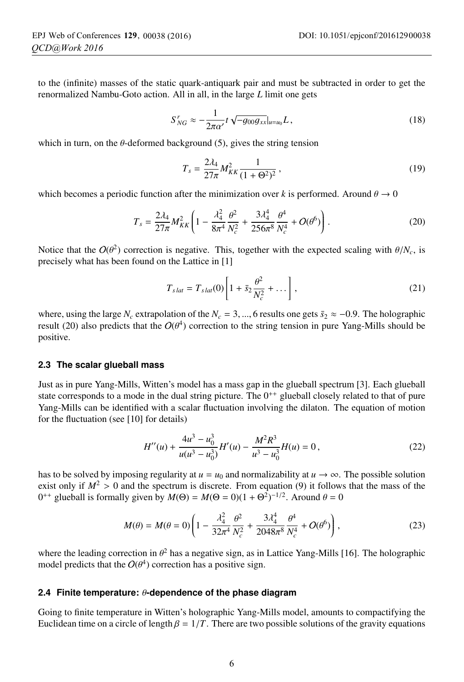to the (infinite) masses of the static quark-antiquark pair and must be subtracted in order to get the renormalized Nambu-Goto action. All in all, in the large *L* limit one gets

$$
S'_{NG} \approx -\frac{1}{2\pi\alpha'} t \sqrt{-g_{00}g_{xx}}|_{u=u_0} L, \qquad (18)
$$

which in turn, on the  $\theta$ -deformed background (5), gives the string tension

$$
T_s = \frac{2\lambda_4}{27\pi} M_{KK}^2 \frac{1}{(1+\Theta^2)^2},\tag{19}
$$

which becomes a periodic function after the minimization over *k* is performed. Around  $\theta \rightarrow 0$ 

$$
T_s = \frac{2\lambda_4}{27\pi} M_{KK}^2 \left( 1 - \frac{\lambda_4^2}{8\pi^4} \frac{\theta^2}{N_c^2} + \frac{3\lambda_4^4}{256\pi^8} \frac{\theta^4}{N_c^4} + O(\theta^6) \right). \tag{20}
$$

Notice that the  $O(\theta^2)$  correction is negative. This, together with the expected scaling with  $\theta/N_c$ , is precisely what has been found on the Lattice in [1]

$$
T_{slat} = T_{slat}(0) \left[ 1 + \bar{s}_2 \frac{\theta^2}{N_c^2} + \dots \right],
$$
\n(21)

where, using the large  $N_c$  extrapolation of the  $N_c = 3, ..., 6$  results one gets  $\bar{s}_2 \approx -0.9$ . The holographic result (20) also predicts that the  $O(\theta^4)$  correction to the string tension in pure Yang-Mills should be positive.

#### **2.3 The scalar glueball mass**

Just as in pure Yang-Mills, Witten's model has a mass gap in the glueball spectrum [3]. Each glueball state corresponds to a mode in the dual string picture. The  $0^{++}$  glueball closely related to that of pure Yang-Mills can be identified with a scalar fluctuation involving the dilaton. The equation of motion for the fluctuation (see [10] for details)

$$
H''(u) + \frac{4u^3 - u_0^3}{u(u^3 - u_0^3)}H'(u) - \frac{M^2 R^3}{u^3 - u_0^3}H(u) = 0,
$$
\n(22)

has to be solved by imposing regularity at  $u = u_0$  and normalizability at  $u \to \infty$ . The possible solution exist only if  $M^2 > 0$  and the spectrum is discrete. From equation (9) it follows that the mass of the  $0^{++}$  glueball is formally given by *M*(Θ) = *M*(Θ = 0)(1 + Θ<sup>2</sup>)<sup>-1/2</sup>. Around θ = 0

$$
M(\theta) = M(\theta = 0) \left( 1 - \frac{\lambda_4^2}{32\pi^4} \frac{\theta^2}{N_c^2} + \frac{3\lambda_4^4}{2048\pi^8} \frac{\theta^4}{N_c^4} + O(\theta^6) \right),
$$
 (23)

where the leading correction in  $\theta^2$  has a negative sign, as in Lattice Yang-Mills [16]. The holographic model predicts that the  $O(\theta^4)$  correction has a positive sign.

### **2.4 Finite temperature:** θ**-dependence of the phase diagram**

Going to finite temperature in Witten's holographic Yang-Mills model, amounts to compactifying the Euclidean time on a circle of length  $\beta = 1/T$ . There are two possible solutions of the gravity equations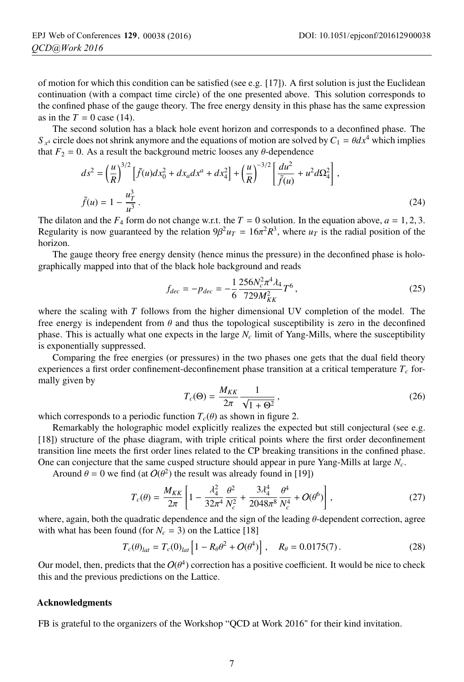of motion for which this condition can be satisfied (see e.g. [17]). A first solution is just the Euclidean continuation (with a compact time circle) of the one presented above. This solution corresponds to the confined phase of the gauge theory. The free energy density in this phase has the same expression as in the  $T = 0$  case (14).

The second solution has a black hole event horizon and corresponds to a deconfined phase. The *S*  $<sup>x</sup>$  circle does not shrink anymore and the equations of motion are solved by  $C_1 = \theta dx^4$  which implies</sup> that  $F_2 = 0$ . As a result the background metric looses any  $\theta$ -dependence

$$
ds^{2} = \left(\frac{u}{R}\right)^{3/2} \left[\tilde{f}(u)dx_{0}^{2} + dx_{a}dx^{a} + dx_{4}^{2}\right] + \left(\frac{u}{R}\right)^{-3/2} \left[\frac{du^{2}}{\tilde{f}(u)} + u^{2}d\Omega_{4}^{2}\right],
$$
  

$$
\tilde{f}(u) = 1 - \frac{u_{T}^{3}}{u^{3}}.
$$
 (24)

The dilaton and the  $F_4$  form do not change w.r.t. the  $T = 0$  solution. In the equation above,  $a = 1, 2, 3$ . Regularity is now guaranteed by the relation  $9\beta^2 u_T = 16\pi^2 R^3$ , where  $u_T$  is the radial position of the horizon.

The gauge theory free energy density (hence minus the pressure) in the deconfined phase is holographically mapped into that of the black hole background and reads

$$
f_{dec} = -p_{dec} = -\frac{1}{6} \frac{256N_c^2 \pi^4 \lambda_4}{729 M_{KK}^2} T^6 \,, \tag{25}
$$

where the scaling with *T* follows from the higher dimensional UV completion of the model. The free energy is independent from  $\theta$  and thus the topological susceptibility is zero in the deconfined phase. This is actually what one expects in the large *Nc* limit of Yang-Mills, where the susceptibility is exponentially suppressed.

Comparing the free energies (or pressures) in the two phases one gets that the dual field theory experiences a first order confinement-deconfinement phase transition at a critical temperature  $T_c$  formally given by

$$
T_c(\Theta) = \frac{M_{KK}}{2\pi} \frac{1}{\sqrt{1 + \Theta^2}},
$$
\n
$$
\text{(26)}
$$
\n
$$
\text{for } T_c(\theta) \text{ as shown in figure 2.}
$$

which corresponds to a periodic function  $T_c(\theta)$  as shown in figure 2.<br>Remarkably the holographic model explicitly realizes the expected

Remarkably the holographic model explicitly realizes the expected but still conjectural (see e.g. [18]) structure of the phase diagram, with triple critical points where the first order deconfinement transition line meets the first order lines related to the CP breaking transitions in the confined phase. One can conjecture that the same cusped structure should appear in pure Yang-Mills at large *Nc*.

Around  $\theta = 0$  we find (at  $O(\theta^2)$ ) the result was already found in [19])

$$
T_c(\theta) = \frac{M_{KK}}{2\pi} \left[ 1 - \frac{\lambda_4^2}{32\pi^4} \frac{\theta^2}{N_c^2} + \frac{3\lambda_4^4}{2048\pi^8} \frac{\theta^4}{N_c^4} + O(\theta^6) \right],
$$
 (27)

where, again, both the quadratic dependence and the sign of the leading  $\theta$ -dependent correction, agree with what has been found (for  $N_c = 3$ ) on the Lattice [18]

$$
T_c(\theta)_{lat} = T_c(0)_{lat} \left[ 1 - R_\theta \theta^2 + O(\theta^4) \right], \quad R_\theta = 0.0175(7).
$$
 (28)

Our model, then, predicts that the  $O(\theta^4)$  correction has a positive coefficient. It would be nice to check this and the previous predictions on the Lattice.

#### Acknowledgments

FB is grateful to the organizers of the Workshop "QCD at Work 2016" for their kind invitation.